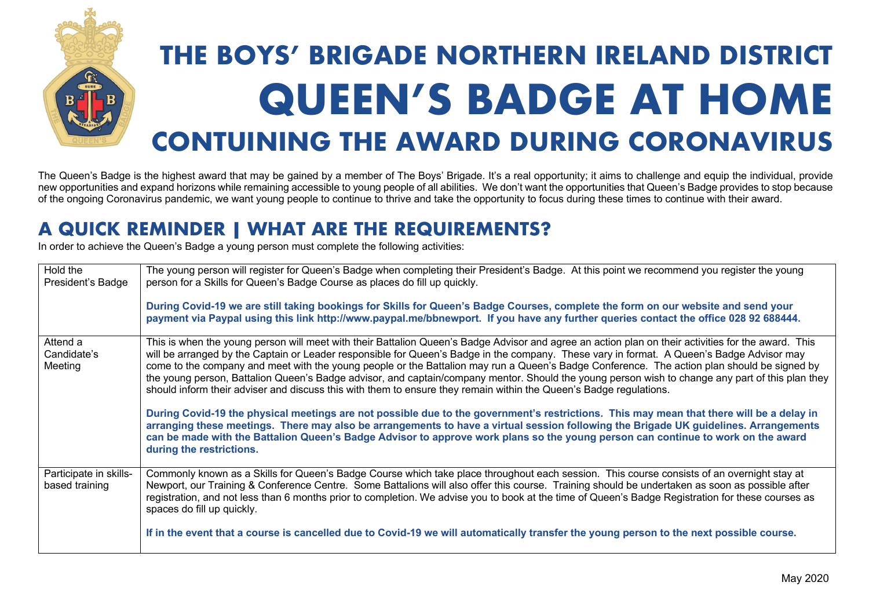

# **THE BOYS' BRIGADE NORTHERN IRELAND DISTRICT QUEEN'S BADGE AT HOME CONTUINING THE AWARD DURING CORONAVIRUS**

The Queen's Badge is the highest award that may be gained by a member of The Boys' Brigade. It's a real opportunity; it aims to challenge and equip the individual, provide new opportunities and expand horizons while remaining accessible to young people of all abilities. We don't want the opportunities that Queen's Badge provides to stop because of the ongoing Coronavirus pandemic, we want young people to continue to thrive and take the opportunity to focus during these times to continue with their award.

# **A QUICK REMINDER | WHAT ARE THE REQUIREMENTS?**

In order to achieve the Queen's Badge a young person must complete the following activities:

| Hold the<br>President's Badge            | The young person will register for Queen's Badge when completing their President's Badge. At this point we recommend you register the young<br>person for a Skills for Queen's Badge Course as places do fill up quickly.<br>During Covid-19 we are still taking bookings for Skills for Queen's Badge Courses, complete the form on our website and send your<br>payment via Paypal using this link http://www.paypal.me/bbnewport. If you have any further queries contact the office 028 92 688444.                                                                                                                                                                                                                                                                                                                                                                                                                                                                                                                                                                                                                                                                        |
|------------------------------------------|-------------------------------------------------------------------------------------------------------------------------------------------------------------------------------------------------------------------------------------------------------------------------------------------------------------------------------------------------------------------------------------------------------------------------------------------------------------------------------------------------------------------------------------------------------------------------------------------------------------------------------------------------------------------------------------------------------------------------------------------------------------------------------------------------------------------------------------------------------------------------------------------------------------------------------------------------------------------------------------------------------------------------------------------------------------------------------------------------------------------------------------------------------------------------------|
| Attend a<br>Candidate's<br>Meeting       | This is when the young person will meet with their Battalion Queen's Badge Advisor and agree an action plan on their activities for the award. This<br>will be arranged by the Captain or Leader responsible for Queen's Badge in the company. These vary in format. A Queen's Badge Advisor may<br>come to the company and meet with the young people or the Battalion may run a Queen's Badge Conference. The action plan should be signed by<br>the young person, Battalion Queen's Badge advisor, and captain/company mentor. Should the young person wish to change any part of this plan they<br>should inform their adviser and discuss this with them to ensure they remain within the Queen's Badge regulations.<br>During Covid-19 the physical meetings are not possible due to the government's restrictions. This may mean that there will be a delay in<br>arranging these meetings. There may also be arrangements to have a virtual session following the Brigade UK guidelines. Arrangements<br>can be made with the Battalion Queen's Badge Advisor to approve work plans so the young person can continue to work on the award<br>during the restrictions. |
| Participate in skills-<br>based training | Commonly known as a Skills for Queen's Badge Course which take place throughout each session. This course consists of an overnight stay at<br>Newport, our Training & Conference Centre. Some Battalions will also offer this course. Training should be undertaken as soon as possible after<br>registration, and not less than 6 months prior to completion. We advise you to book at the time of Queen's Badge Registration for these courses as<br>spaces do fill up quickly.<br>If in the event that a course is cancelled due to Covid-19 we will automatically transfer the young person to the next possible course.                                                                                                                                                                                                                                                                                                                                                                                                                                                                                                                                                  |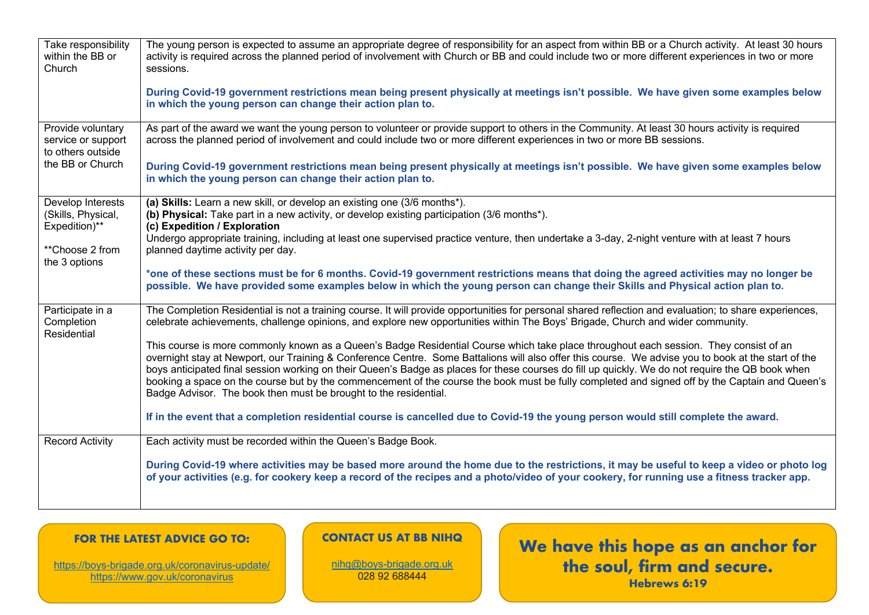| Take responsibility<br>within the BB or<br>Church            | The young person is expected to assume an appropriate degree of responsibility for an aspect from within BB or a Church activity. At least 30 hours<br>activity is required across the planned period of involvement with Church or BB and could include two or more different experiences in two or more<br>sessions.                                                                                                                                                                                                                                                                                                                                                 |
|--------------------------------------------------------------|------------------------------------------------------------------------------------------------------------------------------------------------------------------------------------------------------------------------------------------------------------------------------------------------------------------------------------------------------------------------------------------------------------------------------------------------------------------------------------------------------------------------------------------------------------------------------------------------------------------------------------------------------------------------|
|                                                              | During Covid-19 government restrictions mean being present physically at meetings isn't possible. We have given some examples below<br>in which the young person can change their action plan to.                                                                                                                                                                                                                                                                                                                                                                                                                                                                      |
| Provide voluntary<br>service or support<br>to others outside | As part of the award we want the young person to volunteer or provide support to others in the Community. At least 30 hours activity is required<br>across the planned period of involvement and could include two or more different experiences in two or more BB sessions.                                                                                                                                                                                                                                                                                                                                                                                           |
| the BB or Church                                             | During Covid-19 government restrictions mean being present physically at meetings isn't possible. We have given some examples below<br>in which the young person can change their action plan to.                                                                                                                                                                                                                                                                                                                                                                                                                                                                      |
| Develop Interests<br>(Skills, Physical,<br>Expedition)**     | (a) Skills: Learn a new skill, or develop an existing one (3/6 months*).<br>(b) Physical: Take part in a new activity, or develop existing participation (3/6 months*).<br>(c) Expedition / Exploration                                                                                                                                                                                                                                                                                                                                                                                                                                                                |
| **Choose 2 from<br>the 3 options                             | Undergo appropriate training, including at least one supervised practice venture, then undertake a 3-day, 2-night venture with at least 7 hours<br>planned daytime activity per day.                                                                                                                                                                                                                                                                                                                                                                                                                                                                                   |
|                                                              | *one of these sections must be for 6 months. Covid-19 government restrictions means that doing the agreed activities may no longer be<br>possible. We have provided some examples below in which the young person can change their Skills and Physical action plan to.                                                                                                                                                                                                                                                                                                                                                                                                 |
| Participate in a<br>Completion<br>Residential                | The Completion Residential is not a training course. It will provide opportunities for personal shared reflection and evaluation; to share experiences,<br>celebrate achievements, challenge opinions, and explore new opportunities within The Boys' Brigade, Church and wider community.                                                                                                                                                                                                                                                                                                                                                                             |
|                                                              | This course is more commonly known as a Queen's Badge Residential Course which take place throughout each session. They consist of an<br>overnight stay at Newport, our Training & Conference Centre. Some Battalions will also offer this course. We advise you to book at the start of the<br>boys anticipated final session working on their Queen's Badge as places for these courses do fill up quickly. We do not require the QB book when<br>booking a space on the course but by the commencement of the course the book must be fully completed and signed off by the Captain and Queen's<br>Badge Advisor. The book then must be brought to the residential. |
|                                                              | If in the event that a completion residential course is cancelled due to Covid-19 the young person would still complete the award.                                                                                                                                                                                                                                                                                                                                                                                                                                                                                                                                     |
| <b>Record Activity</b>                                       | Each activity must be recorded within the Queen's Badge Book.                                                                                                                                                                                                                                                                                                                                                                                                                                                                                                                                                                                                          |
|                                                              | During Covid-19 where activities may be based more around the home due to the restrictions, it may be useful to keep a video or photo log<br>of your activities (e.g. for cookery keep a record of the recipes and a photo/video of your cookery, for running use a fitness tracker app.                                                                                                                                                                                                                                                                                                                                                                               |

### **FOR THE LATEST ADVICE GO TO:**

https://boys-brigade.org.uk/coronavirus-update/ https://www.gov.uk/coronavirus

#### **CONTACT US AT BB NIHQ**

nihq@boys-brigade.org.uk 028 92 688444

**We have this hope as an anchor for the soul, firm and secure. Hebrews 6:19**